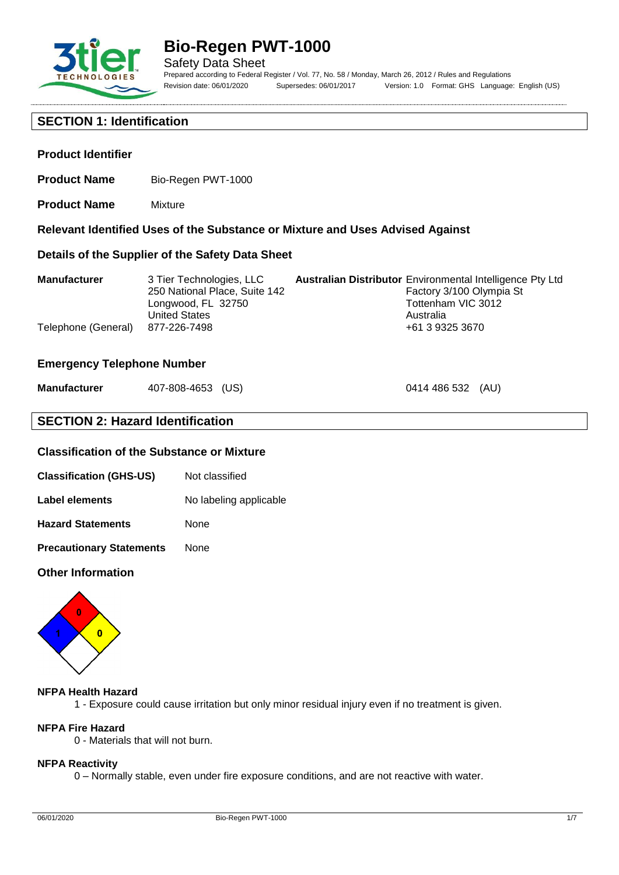

**Product Identifier**

# **Bio-Regen PWT-1000**

**Relevant Identified Uses of the Substance or Mixture and Uses Advised Against**

Safety Data Sheet Prepared according to Federal Register / Vol. 77, No. 58 / Monday, March 26, 2012 / Rules and Regulations Revision date: 06/01/2020 Supersedes: 06/01/2017 Version: 1.0 Format: GHS Language: English (US)

0414 486 532 (AU)

# **SECTION 1: Identification**

**Product Name** Mixture

**Product Name** Bio-Regen PWT-1000

|                     | Details of the Supplier of the Safety Data Sheet                                                        |                                                                                                                                 |
|---------------------|---------------------------------------------------------------------------------------------------------|---------------------------------------------------------------------------------------------------------------------------------|
| <b>Manufacturer</b> | 3 Tier Technologies, LLC<br>250 National Place, Suite 142<br>Longwood, FL 32750<br><b>United States</b> | <b>Australian Distributor</b> Environmental Intelligence Pty Ltd<br>Factory 3/100 Olympia St<br>Tottenham VIC 3012<br>Australia |
| Telephone (General) | 877-226-7498                                                                                            | +61 3 9325 3670                                                                                                                 |

### **Emergency Telephone Number**

| <b>Manufacturer</b> | 407-808-4653 (US) |  |
|---------------------|-------------------|--|
|---------------------|-------------------|--|

# **SECTION 2: Hazard Identification**

# **Classification of the Substance or Mixture**

| <b>Classification (GHS-US)</b> | Not classified |
|--------------------------------|----------------|
|--------------------------------|----------------|

| Label elements | No labeling applicable |  |
|----------------|------------------------|--|
|----------------|------------------------|--|

**Hazard Statements** None

**Precautionary Statements** None

### **Other Information**



#### **NFPA Health Hazard**

1 - Exposure could cause irritation but only minor residual injury even if no treatment is given.

# **NFPA Fire Hazard**

0 - Materials that will not burn.

#### **NFPA Reactivity**

0 – Normally stable, even under fire exposure conditions, and are not reactive with water.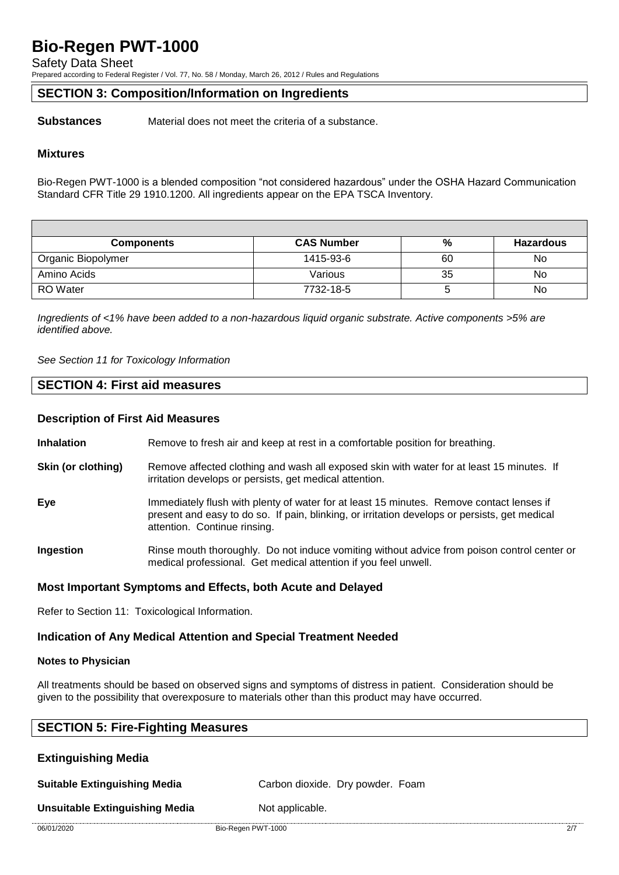Safety Data Sheet

Prepared according to Federal Register / Vol. 77, No. 58 / Monday, March 26, 2012 / Rules and Regulations

# **SECTION 3: Composition/Information on Ingredients**

**Substances** Material does not meet the criteria of a substance.

### **Mixtures**

Bio-Regen PWT-1000 is a blended composition "not considered hazardous" under the OSHA Hazard Communication Standard CFR Title 29 1910.1200. All ingredients appear on the EPA TSCA Inventory.

| <b>Components</b>  | <b>CAS Number</b> | %  | <b>Hazardous</b> |
|--------------------|-------------------|----|------------------|
| Organic Biopolymer | 1415-93-6         | 60 | No               |
| Amino Acids        | Various           | 35 | No               |
| <b>RO</b> Water    | 7732-18-5         |    | No               |

*Ingredients of <1% have been added to a non-hazardous liquid organic substrate. Active components >5% are identified above.*

*See Section 11 for Toxicology Information*

# **SECTION 4: First aid measures**

### **Description of First Aid Measures**

**Inhalation** Remove to fresh air and keep at rest in a comfortable position for breathing.

- **Skin (or clothing)** Remove affected clothing and wash all exposed skin with water for at least 15 minutes. If irritation develops or persists, get medical attention.
- **Eye** Immediately flush with plenty of water for at least 15 minutes. Remove contact lenses if present and easy to do so. If pain, blinking, or irritation develops or persists, get medical attention. Continue rinsing.
- **Ingestion** Rinse mouth thoroughly. Do not induce vomiting without advice from poison control center or medical professional. Get medical attention if you feel unwell.

## **Most Important Symptoms and Effects, both Acute and Delayed**

Refer to Section 11: Toxicological Information.

## **Indication of Any Medical Attention and Special Treatment Needed**

#### **Notes to Physician**

All treatments should be based on observed signs and symptoms of distress in patient. Consideration should be given to the possibility that overexposure to materials other than this product may have occurred.

| <b>SECTION 5: Fire-Fighting Measures</b> |                                  |  |
|------------------------------------------|----------------------------------|--|
| <b>Extinguishing Media</b>               |                                  |  |
| <b>Suitable Extinguishing Media</b>      | Carbon dioxide. Dry powder. Foam |  |

**Unsuitable Extinguishing Media** Not applicable.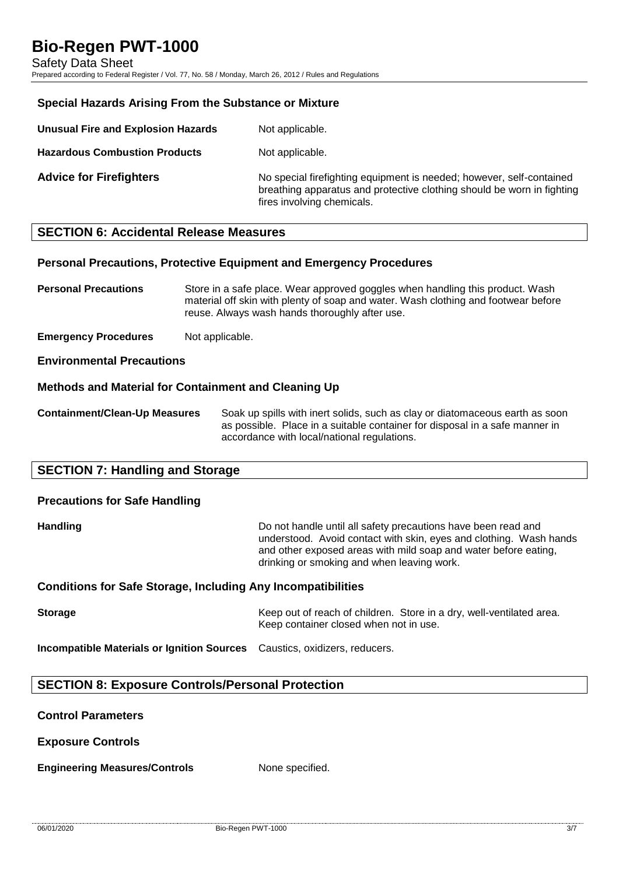Safety Data Sheet

Prepared according to Federal Register / Vol. 77, No. 58 / Monday, March 26, 2012 / Rules and Regulations

### **Special Hazards Arising From the Substance or Mixture**

| Unusual Fire and Explosion Hazards   | Not applicable.                                                                                                                                                              |
|--------------------------------------|------------------------------------------------------------------------------------------------------------------------------------------------------------------------------|
| <b>Hazardous Combustion Products</b> | Not applicable.                                                                                                                                                              |
| <b>Advice for Firefighters</b>       | No special firefighting equipment is needed; however, self-contained<br>breathing apparatus and protective clothing should be worn in fighting<br>fires involving chemicals. |

### **SECTION 6: Accidental Release Measures**

### **Personal Precautions, Protective Equipment and Emergency Procedures**

**Personal Precautions** Store in a safe place. Wear approved goggles when handling this product. Wash material off skin with plenty of soap and water. Wash clothing and footwear before reuse. Always wash hands thoroughly after use.

**Emergency Procedures** Not applicable.

**Environmental Precautions**

### **Methods and Material for Containment and Cleaning Up**

**Containment/Clean-Up Measures** Soak up spills with inert solids, such as clay or diatomaceous earth as soon as possible. Place in a suitable container for disposal in a safe manner in accordance with local/national regulations.

### **SECTION 7: Handling and Storage**

### **Precautions for Safe Handling**

**Handling Handling Example 20** Do not handle until all safety precautions have been read and understood. Avoid contact with skin, eyes and clothing. Wash hands and other exposed areas with mild soap and water before eating, drinking or smoking and when leaving work.

### **Conditions for Safe Storage, Including Any Incompatibilities**

**Storage** Keep out of reach of children. Store in a dry, well-ventilated area. Keep container closed when not in use.

**Incompatible Materials or Ignition Sources** Caustics, oxidizers, reducers.

### **SECTION 8: Exposure Controls/Personal Protection**

**Control Parameters**

**Exposure Controls**

**Engineering Measures/Controls** None specified.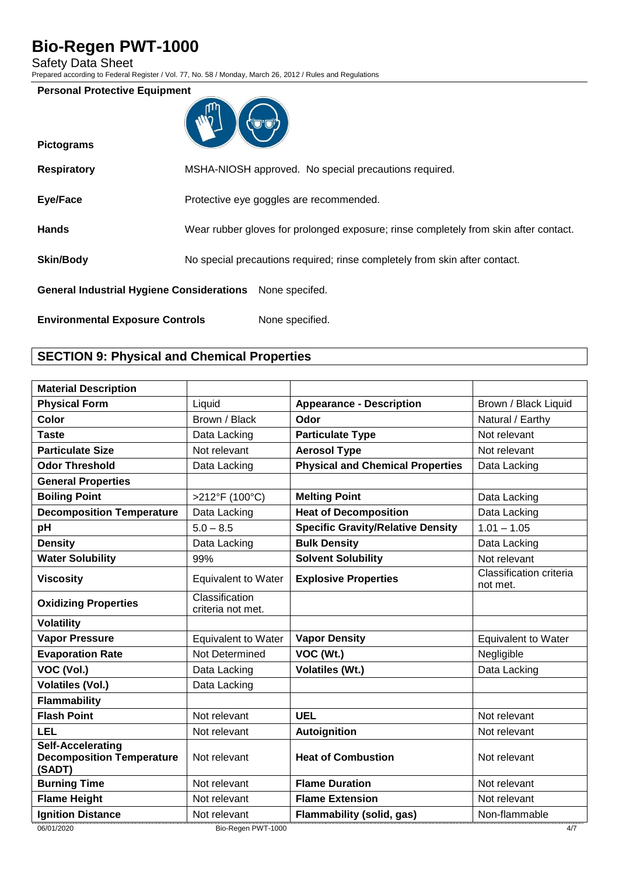Safety Data Sheet

Prepared according to Federal Register / Vol. 77, No. 58 / Monday, March 26, 2012 / Rules and Regulations

### **Personal Protective Equipment**

| ľψ |  |
|----|--|
|    |  |
|    |  |

| <b>Pictograms</b>                                        |                                                                                      |
|----------------------------------------------------------|--------------------------------------------------------------------------------------|
| <b>Respiratory</b>                                       | MSHA-NIOSH approved. No special precautions required.                                |
| Eye/Face                                                 | Protective eye goggles are recommended.                                              |
| <b>Hands</b>                                             | Wear rubber gloves for prolonged exposure; rinse completely from skin after contact. |
| <b>Skin/Body</b>                                         | No special precautions required; rinse completely from skin after contact.           |
| General Industrial Hygiene Considerations None specifed. |                                                                                      |
| <b>Environmental Exposure Controls</b>                   | None specified.                                                                      |

# **SECTION 9: Physical and Chemical Properties**

| <b>Material Description</b>                                            |                                     |                                          |                                     |
|------------------------------------------------------------------------|-------------------------------------|------------------------------------------|-------------------------------------|
| <b>Physical Form</b>                                                   | Liquid                              | <b>Appearance - Description</b>          | Brown / Black Liquid                |
| <b>Color</b>                                                           | Brown / Black                       | Odor                                     | Natural / Earthy                    |
| <b>Taste</b>                                                           | Data Lacking                        | <b>Particulate Type</b>                  | Not relevant                        |
| <b>Particulate Size</b>                                                | Not relevant                        | <b>Aerosol Type</b>                      | Not relevant                        |
| <b>Odor Threshold</b>                                                  | Data Lacking                        | <b>Physical and Chemical Properties</b>  | Data Lacking                        |
| <b>General Properties</b>                                              |                                     |                                          |                                     |
| <b>Boiling Point</b>                                                   | >212°F (100°C)                      | <b>Melting Point</b>                     | Data Lacking                        |
| <b>Decomposition Temperature</b>                                       | Data Lacking                        | <b>Heat of Decomposition</b>             | Data Lacking                        |
| pH                                                                     | $5.0 - 8.5$                         | <b>Specific Gravity/Relative Density</b> | $1.01 - 1.05$                       |
| <b>Density</b>                                                         | Data Lacking                        | <b>Bulk Density</b>                      | Data Lacking                        |
| <b>Water Solubility</b>                                                | 99%                                 | <b>Solvent Solubility</b>                | Not relevant                        |
| <b>Viscosity</b>                                                       | <b>Equivalent to Water</b>          | <b>Explosive Properties</b>              | Classification criteria<br>not met. |
| <b>Oxidizing Properties</b>                                            | Classification<br>criteria not met. |                                          |                                     |
| <b>Volatility</b>                                                      |                                     |                                          |                                     |
| <b>Vapor Pressure</b>                                                  | <b>Equivalent to Water</b>          | <b>Vapor Density</b>                     | <b>Equivalent to Water</b>          |
| <b>Evaporation Rate</b>                                                | Not Determined                      | VOC (Wt.)                                | Negligible                          |
| VOC (Vol.)                                                             | Data Lacking                        | <b>Volatiles (Wt.)</b>                   | Data Lacking                        |
| <b>Volatiles (Vol.)</b>                                                | Data Lacking                        |                                          |                                     |
| <b>Flammability</b>                                                    |                                     |                                          |                                     |
| <b>Flash Point</b>                                                     | Not relevant                        | <b>UEL</b>                               | Not relevant                        |
| <b>LEL</b>                                                             | Not relevant                        | Autoignition                             | Not relevant                        |
| <b>Self-Accelerating</b><br><b>Decomposition Temperature</b><br>(SADT) | Not relevant                        | <b>Heat of Combustion</b>                | Not relevant                        |
| <b>Burning Time</b>                                                    | Not relevant                        | <b>Flame Duration</b>                    | Not relevant                        |
| <b>Flame Height</b>                                                    | Not relevant                        | <b>Flame Extension</b>                   | Not relevant                        |
| <b>Ignition Distance</b>                                               | Not relevant                        | <b>Flammability (solid, gas)</b>         | Non-flammable                       |
| 06/01/2020                                                             | Bio-Regen PWT-1000                  |                                          | 4/7                                 |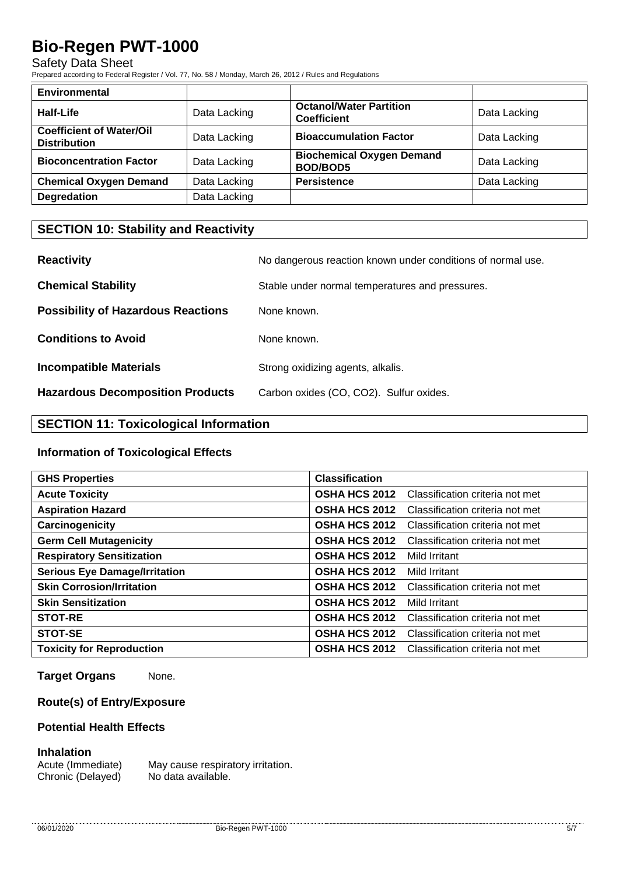## Safety Data Sheet

Prepared according to Federal Register / Vol. 77, No. 58 / Monday, March 26, 2012 / Rules and Regulations

| <b>Environmental</b>                                   |              |                                                      |              |
|--------------------------------------------------------|--------------|------------------------------------------------------|--------------|
| <b>Half-Life</b>                                       | Data Lacking | <b>Octanol/Water Partition</b><br><b>Coefficient</b> | Data Lacking |
| <b>Coefficient of Water/Oil</b><br><b>Distribution</b> | Data Lacking | <b>Bioaccumulation Factor</b>                        | Data Lacking |
| <b>Bioconcentration Factor</b>                         | Data Lacking | <b>Biochemical Oxygen Demand</b><br><b>BOD/BOD5</b>  | Data Lacking |
| <b>Chemical Oxygen Demand</b>                          | Data Lacking | <b>Persistence</b>                                   | Data Lacking |
| <b>Degredation</b>                                     | Data Lacking |                                                      |              |

# **SECTION 10: Stability and Reactivity**

| <b>Reactivity</b>                         | No dangerous reaction known under conditions of normal use. |
|-------------------------------------------|-------------------------------------------------------------|
| <b>Chemical Stability</b>                 | Stable under normal temperatures and pressures.             |
| <b>Possibility of Hazardous Reactions</b> | None known.                                                 |
| <b>Conditions to Avoid</b>                | None known.                                                 |
| <b>Incompatible Materials</b>             | Strong oxidizing agents, alkalis.                           |
| <b>Hazardous Decomposition Products</b>   | Carbon oxides (CO, CO2). Sulfur oxides.                     |

# **SECTION 11: Toxicological Information**

## **Information of Toxicological Effects**

| <b>GHS Properties</b>                | <b>Classification</b> |                                 |
|--------------------------------------|-----------------------|---------------------------------|
| <b>Acute Toxicity</b>                | <b>OSHA HCS 2012</b>  | Classification criteria not met |
| <b>Aspiration Hazard</b>             | <b>OSHA HCS 2012</b>  | Classification criteria not met |
| Carcinogenicity                      | <b>OSHA HCS 2012</b>  | Classification criteria not met |
| <b>Germ Cell Mutagenicity</b>        | <b>OSHA HCS 2012</b>  | Classification criteria not met |
| <b>Respiratory Sensitization</b>     | <b>OSHA HCS 2012</b>  | Mild Irritant                   |
| <b>Serious Eye Damage/Irritation</b> | <b>OSHA HCS 2012</b>  | Mild Irritant                   |
| <b>Skin Corrosion/Irritation</b>     | <b>OSHA HCS 2012</b>  | Classification criteria not met |
| <b>Skin Sensitization</b>            | <b>OSHA HCS 2012</b>  | Mild Irritant                   |
| <b>STOT-RE</b>                       | <b>OSHA HCS 2012</b>  | Classification criteria not met |
| <b>STOT-SE</b>                       | <b>OSHA HCS 2012</b>  | Classification criteria not met |
| <b>Toxicity for Reproduction</b>     | <b>OSHA HCS 2012</b>  | Classification criteria not met |

**Target Organs** None.

# **Route(s) of Entry/Exposure**

## **Potential Health Effects**

### **Inhalation**

Acute (Immediate) May cause respiratory irritation. Chronic (Delayed) No data available.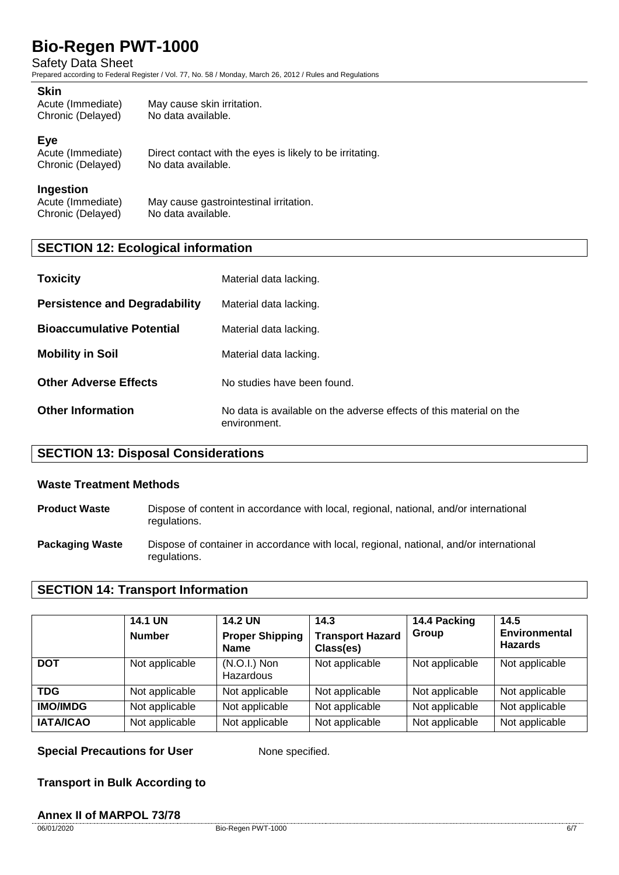## Safety Data Sheet

Prepared according to Federal Register / Vol. 77, No. 58 / Monday, March 26, 2012 / Rules and Regulations

#### **Skin**

| Acute (Immediate) | May cause skin irritation. |
|-------------------|----------------------------|
| Chronic (Delayed) | No data available.         |

### **Eye**

| Acute (Immediate) | Direct contact with the eyes is likely to be irritating. |
|-------------------|----------------------------------------------------------|
| Chronic (Delayed) | No data available.                                       |

#### **Ingestion**

| Acute (Immediate) | May cause gastrointestinal irritation. |
|-------------------|----------------------------------------|
| Chronic (Delayed) | No data available.                     |

# **SECTION 12: Ecological information**

| <b>Toxicity</b>                      | Material data lacking.                                                              |
|--------------------------------------|-------------------------------------------------------------------------------------|
| <b>Persistence and Degradability</b> | Material data lacking.                                                              |
| <b>Bioaccumulative Potential</b>     | Material data lacking.                                                              |
| <b>Mobility in Soil</b>              | Material data lacking.                                                              |
| <b>Other Adverse Effects</b>         | No studies have been found.                                                         |
| <b>Other Information</b>             | No data is available on the adverse effects of this material on the<br>environment. |

# **SECTION 13: Disposal Considerations**

### **Waste Treatment Methods**

| <b>Product Waste</b> | Dispose of content in accordance with local, regional, national, and/or international |
|----------------------|---------------------------------------------------------------------------------------|
|                      | regulations.                                                                          |

**Packaging Waste** Dispose of container in accordance with local, regional, national, and/or international regulations.

## **SECTION 14: Transport Information**

|                  | <b>14.1 UN</b><br><b>Number</b> | <b>14.2 UN</b><br><b>Proper Shipping</b><br><b>Name</b> | 14.3<br><b>Transport Hazard</b><br>Class(es) | 14.4 Packing<br>Group | 14.5<br><b>Environmental</b><br><b>Hazards</b> |
|------------------|---------------------------------|---------------------------------------------------------|----------------------------------------------|-----------------------|------------------------------------------------|
| <b>DOT</b>       | Not applicable                  | $(N.O.I.)$ Non<br>Hazardous                             | Not applicable                               | Not applicable        | Not applicable                                 |
| TDG              | Not applicable                  | Not applicable                                          | Not applicable                               | Not applicable        | Not applicable                                 |
| <b>IMO/IMDG</b>  | Not applicable                  | Not applicable                                          | Not applicable                               | Not applicable        | Not applicable                                 |
| <b>IATA/ICAO</b> | Not applicable                  | Not applicable                                          | Not applicable                               | Not applicable        | Not applicable                                 |

**Special Precautions for User** None specified.

**Transport in Bulk According to**

### **Annex II of MARPOL 73/78**